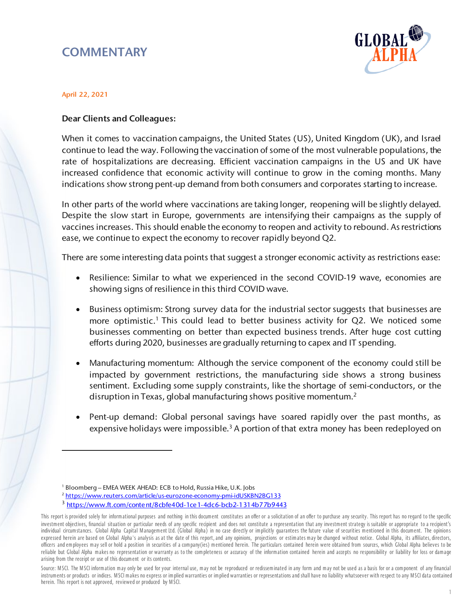## **COMMENTARY**



## April 22, 2021

 $\overline{a}$ 

## Dear Clients and Colleagues:

When it comes to vaccination campaigns, the United States (US), United Kingdom (UK), and Israel continue to lead the way. Following the vaccination of some of the most vulnerable populations, the rate of hospitalizations are decreasing. Efficient vaccination campaigns in the US and UK have increased confidence that economic activity will continue to grow in the coming months. Many indications show strong pent-up demand from both consumers and corporates starting to increase.

In other parts of the world where vaccinations are taking longer, reopening will be slightly delayed. Despite the slow start in Europe, governments are intensifying their campaigns as the supply of vaccines increases. This should enable the economy to reopen and activity to rebound. As restrictions ease, we continue to expect the economy to recover rapidly beyond Q2.

There are some interesting data points that suggest a stronger economic activity as restrictions ease:

- Resilience: Similar to what we experienced in the second COVID-19 wave, economies are showing signs of resilience in this third COVID wave.
- Business optimism: Strong survey data for the industrial sector suggests that businesses are more optimistic.<sup>1</sup> This could lead to better business activity for Q2. We noticed some businesses commenting on better than expected business trends. After huge cost cutting efforts during 2020, businesses are gradually returning to capex and IT spending.
- Manufacturing momentum: Although the service component of the economy could still be impacted by government restrictions, the manufacturing side shows a strong business sentiment. Excluding some supply constraints, like the shortage of semi-conductors, or the disruption in Texas, global manufacturing shows positive momentum.<sup>2</sup>
- Pent-up demand: Global personal savings have soared rapidly over the past months, as expensive holidays were impossible.<sup>3</sup> A portion of that extra money has been redeployed on

<sup>1</sup> Bloomberg – EMEA WEEK AHEAD: ECB to Hold, Russia Hike, U.K. Jobs

<sup>2</sup> <https://www.reuters.com/article/us-eurozone-economy-pmi-idUSKBN2BG133>

<sup>3</sup> <https://www.ft.com/content/8cbfe40d-1ce1-4dc6-bcb2-1314b77b9443>

This report is provided solely for informational purposes and nothing in this document constitutes an offer or a solicitation of an offer to purchase any security. This report has no regard to the specific investm ent objectives, financial situation or particular needs of any specific recipient and does not constitute a representation that any investm ent strategy is suitable or appropriate to a recipient's individual circum stances. Global Alpha Capital Management Ltd. (Global Alpha) in no case directly or implicitly guarantees the future value of securities mentioned in this document. The opinions expressed herein are based on Global Alpha's analysis as at the date of this report, and any opinions, projections or estim ates m ay be changed without notice. Global Alpha, its affiliates, directors, officers and em ployees m ay sell or hold a position in securities of a com pany(ies) m entioned herein. The particulars contained herein were obtained from sources, which Global Alpha believes to be reliable but Global Alpha makes no representation or warranty as to the completeness or accuracy of the information contained herein and accepts no responsibility or liability for loss or damage arising from the receipt or use of this docum ent or its contents.

Source: MSCI. The MSCI information may only be used for your internal use, may not be reproduced or redisseminated in any form and may not be used as a basis for or a component of any financial instruments or products or indices. MSCI makes no express or implied warranties or implied warranties or representations and shall have no liability whatsoever with respect to any MSCI data contained herein. This report is not approved, reviewed or produced by M SCI.